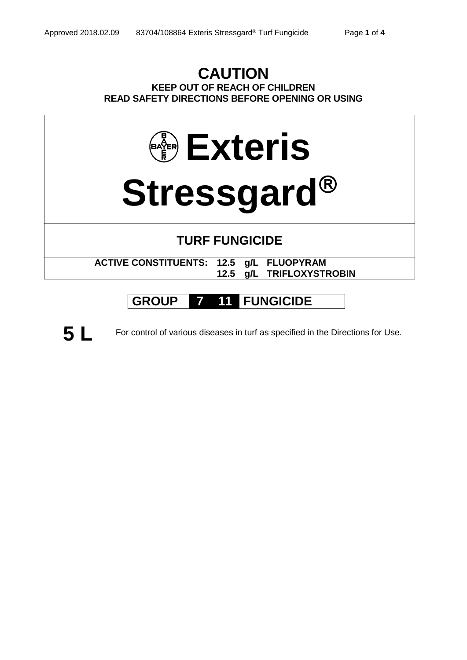## **CAUTION KEEP OUT OF REACH OF CHILDREN READ SAFETY DIRECTIONS BEFORE OPENING OR USING**



# **GROUP 7 11 FUNGICIDE**



**5 L** For control of various diseases in turf as specified in the Directions for Use.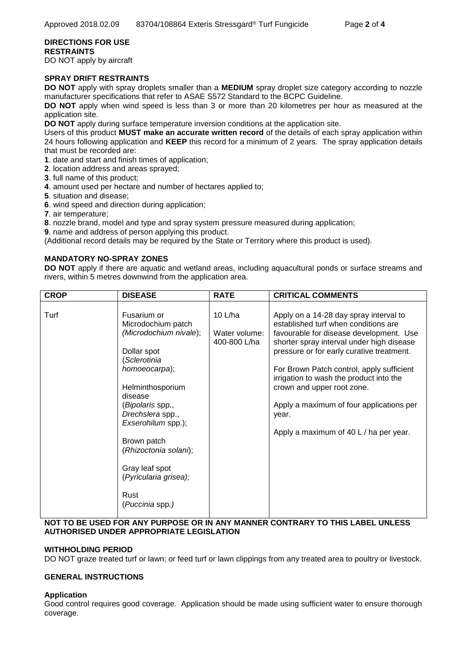### **DIRECTIONS FOR USE RESTRAINTS**

DO NOT apply by aircraft

### **SPRAY DRIFT RESTRAINTS**

**DO NOT** apply with spray droplets smaller than a **MEDIUM** spray droplet size category according to nozzle manufacturer specifications that refer to ASAE S572 Standard to the BCPC Guideline.

**DO NOT** apply when wind speed is less than 3 or more than 20 kilometres per hour as measured at the application site.

**DO NOT** apply during surface temperature inversion conditions at the application site.

Users of this product **MUST make an accurate written record** of the details of each spray application within 24 hours following application and **KEEP** this record for a minimum of 2 years. The spray application details that must be recorded are:

- **1**. date and start and finish times of application;
- **2**. location address and areas sprayed;
- **3**. full name of this product;
- **4**. amount used per hectare and number of hectares applied to;
- **5**. situation and disease;
- **6**. wind speed and direction during application;
- **7**. air temperature;

**8**. nozzle brand, model and type and spray system pressure measured during application;

**9**. name and address of person applying this product.

(Additional record details may be required by the State or Territory where this product is used).

### **MANDATORY NO-SPRAY ZONES**

**DO NOT** apply if there are aquatic and wetland areas, including aquacultural ponds or surface streams and rivers, within 5 metres downwind from the application area.

| <b>CROP</b> | <b>DISEASE</b>                                                                                                                                                                                                                                                                                                         | <b>RATE</b>                                | <b>CRITICAL COMMENTS</b>                                                                                                                                                                                                                                                                                                                                                                                                                 |
|-------------|------------------------------------------------------------------------------------------------------------------------------------------------------------------------------------------------------------------------------------------------------------------------------------------------------------------------|--------------------------------------------|------------------------------------------------------------------------------------------------------------------------------------------------------------------------------------------------------------------------------------------------------------------------------------------------------------------------------------------------------------------------------------------------------------------------------------------|
| Turf        | Fusarium or<br>Microdochium patch<br>(Microdochium nivale);<br>Dollar spot<br>(Sclerotinia<br>homoeocarpa);<br>Helminthosporium<br>disease<br>(Bipolaris spp.,<br>Drechslera spp.,<br>Exserohilum spp.);<br>Brown patch<br>(Rhizoctonia solani);<br>Gray leaf spot<br>(Pyricularia grisea);<br>Rust<br>(Puccinia spp.) | 10 $L/ha$<br>Water volume:<br>400-800 L/ha | Apply on a 14-28 day spray interval to<br>established turf when conditions are<br>favourable for disease development. Use<br>shorter spray interval under high disease<br>pressure or for early curative treatment.<br>For Brown Patch control, apply sufficient<br>irrigation to wash the product into the<br>crown and upper root zone.<br>Apply a maximum of four applications per<br>year.<br>Apply a maximum of 40 L / ha per year. |

### **NOT TO BE USED FOR ANY PURPOSE OR IN ANY MANNER CONTRARY TO THIS LABEL UNLESS AUTHORISED UNDER APPROPRIATE LEGISLATION**

### **WITHHOLDING PERIOD**

DO NOT graze treated turf or lawn; or feed turf or lawn clippings from any treated area to poultry or livestock.

### **GENERAL INSTRUCTIONS**

### **Application**

Good control requires good coverage. Application should be made using sufficient water to ensure thorough coverage.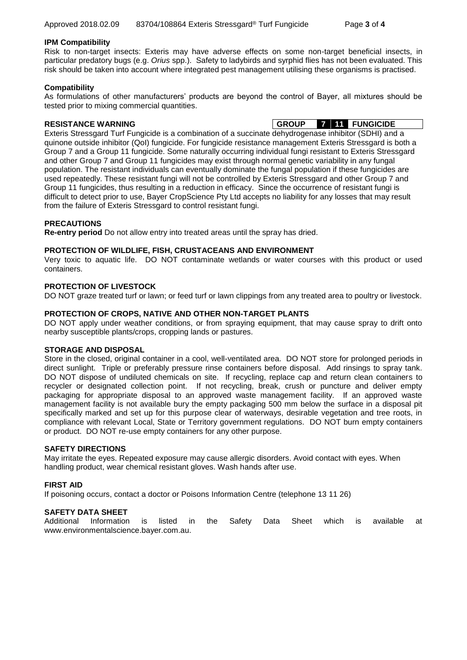### **IPM Compatibility**

Risk to non-target insects: Exteris may have adverse effects on some non-target beneficial insects, in particular predatory bugs (e.g. *Orius* spp.). Safety to ladybirds and syrphid flies has not been evaluated. This risk should be taken into account where integrated pest management utilising these organisms is practised.

### **Compatibility**

As formulations of other manufacturers' products are beyond the control of Bayer, all mixtures should be tested prior to mixing commercial quantities.

**RESISTANCE WARNING GROUP 7 11 FUNGICIDE**

Exteris Stressgard Turf Fungicide is a combination of a succinate dehydrogenase inhibitor (SDHI) and a quinone outside inhibitor (QoI) fungicide. For fungicide resistance management Exteris Stressgard is both a Group 7 and a Group 11 fungicide. Some naturally occurring individual fungi resistant to Exteris Stressgard and other Group 7 and Group 11 fungicides may exist through normal genetic variability in any fungal population. The resistant individuals can eventually dominate the fungal population if these fungicides are used repeatedly. These resistant fungi will not be controlled by Exteris Stressgard and other Group 7 and Group 11 fungicides, thus resulting in a reduction in efficacy. Since the occurrence of resistant fungi is difficult to detect prior to use, Bayer CropScience Pty Ltd accepts no liability for any losses that may result from the failure of Exteris Stressgard to control resistant fungi.

### **PRECAUTIONS**

**Re-entry period** Do not allow entry into treated areas until the spray has dried.

### **PROTECTION OF WILDLIFE, FISH, CRUSTACEANS AND ENVIRONMENT**

Very toxic to aquatic life. DO NOT contaminate wetlands or water courses with this product or used containers.

### **PROTECTION OF LIVESTOCK**

DO NOT graze treated turf or lawn; or feed turf or lawn clippings from any treated area to poultry or livestock.

### **PROTECTION OF CROPS, NATIVE AND OTHER NON-TARGET PLANTS**

DO NOT apply under weather conditions, or from spraying equipment, that may cause spray to drift onto nearby susceptible plants/crops, cropping lands or pastures.

### **STORAGE AND DISPOSAL**

Store in the closed, original container in a cool, well-ventilated area. DO NOT store for prolonged periods in direct sunlight. Triple or preferably pressure rinse containers before disposal. Add rinsings to spray tank. DO NOT dispose of undiluted chemicals on site. If recycling, replace cap and return clean containers to recycler or designated collection point. If not recycling, break, crush or puncture and deliver empty packaging for appropriate disposal to an approved waste management facility. If an approved waste management facility is not available bury the empty packaging 500 mm below the surface in a disposal pit specifically marked and set up for this purpose clear of waterways, desirable vegetation and tree roots, in compliance with relevant Local, State or Territory government regulations. DO NOT burn empty containers or product. DO NOT re-use empty containers for any other purpose.

### **SAFETY DIRECTIONS**

May irritate the eyes. Repeated exposure may cause allergic disorders. Avoid contact with eyes. When handling product, wear chemical resistant gloves. Wash hands after use.

### **FIRST AID**

If poisoning occurs, contact a doctor or Poisons Information Centre (telephone 13 11 26)

### **SAFETY DATA SHEET**

Additional Information is listed in the Safety Data Sheet which is available at www.environmentalscience.bayer.com.au.